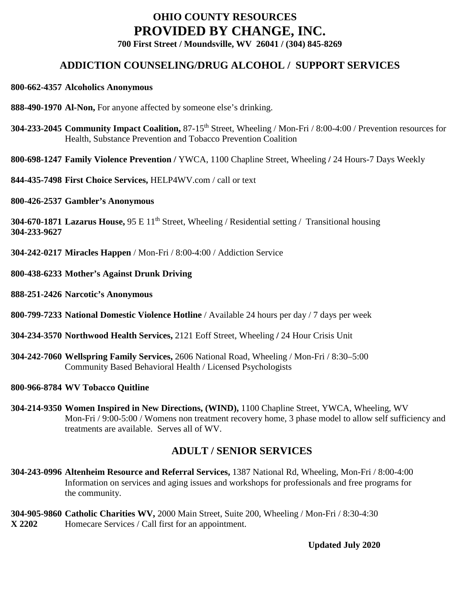# **OHIO COUNTY RESOURCES PROVIDED BY CHANGE, INC.**

**700 First Street / Moundsville, WV 26041 / (304) 845-8269**

# **ADDICTION COUNSELING/DRUG ALCOHOL / SUPPORT SERVICES**

#### **800-662-4357 Alcoholics Anonymous**

- **888-490-1970 Al-Non,** For anyone affected by someone else's drinking.
- **304-233-2045 Community Impact Coalition,** 87-15th Street, Wheeling / Mon-Fri / 8:00-4:00 / Prevention resources for Health, Substance Prevention and Tobacco Prevention Coalition
- **800-698-1247 Family Violence Prevention /** YWCA, 1100 Chapline Street, Wheeling **/** 24 Hours-7 Days Weekly
- **844-435-7498 First Choice Services,** HELP4WV.com / call or text
- **800-426-2537 Gambler's Anonymous**

**304-670-1871 Lazarus House,** 95 E 11<sup>th</sup> Street, Wheeling / Residential setting / Transitional housing **304-233-9627**

- **304-242-0217 Miracles Happen** / Mon-Fri / 8:00-4:00 / Addiction Service
- **800-438-6233 Mother's Against Drunk Driving**
- **888-251-2426 Narcotic's Anonymous**
- **800-799-7233 National Domestic Violence Hotline** / Available 24 hours per day / 7 days per week
- **304-234-3570 Northwood Health Services,** 2121 Eoff Street, Wheeling **/** 24 Hour Crisis Unit
- **304-242-7060 Wellspring Family Services,** 2606 National Road, Wheeling / Mon-Fri / 8:30–5:00 Community Based Behavioral Health / Licensed Psychologists
- **800-966-8784 WV Tobacco Quitline**
- **304-214-9350 Women Inspired in New Directions, (WIND),** 1100 Chapline Street, YWCA, Wheeling, WV Mon-Fri / 9:00-5:00 / Womens non treatment recovery home, 3 phase model to allow self sufficiency and treatments are available. Serves all of WV.

# **ADULT / SENIOR SERVICES**

- **304-243-0996 Altenheim Resource and Referral Services,** 1387 National Rd, Wheeling, Mon-Fri / 8:00-4:00 Information on services and aging issues and workshops for professionals and free programs for the community.
- **304-905-9860 Catholic Charities WV,** 2000 Main Street, Suite 200, Wheeling / Mon-Fri / 8:30-4:30 **X 2202** Homecare Services / Call first for an appointment.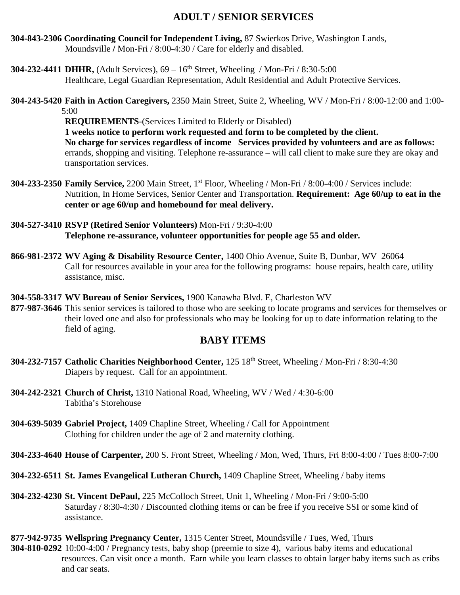# **ADULT / SENIOR SERVICES**

- **304-843-2306 Coordinating Council for Independent Living,** 87 Swierkos Drive, Washington Lands, Moundsville **/** Mon-Fri / 8:00-4:30 / Care for elderly and disabled.
- **304-232-4411 DHHR,** (Adult Services),  $69 16^{th}$  Street, Wheeling / Mon-Fri / 8:30-5:00 Healthcare, Legal Guardian Representation, Adult Residential and Adult Protective Services.
- **304-243-5420 Faith in Action Caregivers,** 2350 Main Street, Suite 2, Wheeling, WV / Mon-Fri / 8:00-12:00 and 1:00- 5:00

**REQUIREMENTS**-(Services Limited to Elderly or Disabled) **1 weeks notice to perform work requested and form to be completed by the client. No charge for services regardless of income Services provided by volunteers and are as follows:**  errands, shopping and visiting. Telephone re-assurance – will call client to make sure they are okay and transportation services.

- **304-233-2350** Family Service, 2200 Main Street, 1<sup>st</sup> Floor, Wheeling / Mon-Fri / 8:00-4:00 / Services include: Nutrition, In Home Services, Senior Center and Transportation. **Requirement: Age 60/up to eat in the center or age 60/up and homebound for meal delivery.**
- **304-527-3410 RSVP (Retired Senior Volunteers)** Mon-Fri / 9:30-4:00 **Telephone re-assurance, volunteer opportunities for people age 55 and older.**
- **866-981-2372 WV Aging & Disability Resource Center,** 1400 Ohio Avenue, Suite B, Dunbar, WV 26064 Call for resources available in your area for the following programs: house repairs, health care, utility assistance, misc.
- **304-558-3317 WV Bureau of Senior Services,** 1900 Kanawha Blvd. E, Charleston WV
- **877-987-3646** This senior services is tailored to those who are seeking to locate programs and services for themselves or their loved one and also for professionals who may be looking for up to date information relating to the field of aging.

### **BABY ITEMS**

- **304-232-7157 Catholic Charities Neighborhood Center,** 125 18th Street, Wheeling / Mon-Fri / 8:30-4:30 Diapers by request. Call for an appointment.
- **304-242-2321 Church of Christ,** 1310 National Road, Wheeling, WV / Wed / 4:30-6:00 Tabitha's Storehouse
- **304-639-5039 Gabriel Project,** 1409 Chapline Street, Wheeling / Call for Appointment Clothing for children under the age of 2 and maternity clothing.
- **304-233-4640 House of Carpenter,** 200 S. Front Street, Wheeling / Mon, Wed, Thurs, Fri 8:00-4:00 / Tues 8:00-7:00
- **304-232-6511 St. James Evangelical Lutheran Church,** 1409 Chapline Street, Wheeling / baby items
- **304-232-4230 St. Vincent DePaul,** 225 McColloch Street, Unit 1, Wheeling / Mon-Fri / 9:00-5:00 Saturday / 8:30-4:30 / Discounted clothing items or can be free if you receive SSI or some kind of assistance.
- **877-942-9735 Wellspring Pregnancy Center,** 1315 Center Street, Moundsville / Tues, Wed, Thurs **304-810-0292** 10:00-4:00 / Pregnancy tests, baby shop (preemie to size 4), various baby items and educational resources. Can visit once a month. Earn while you learn classes to obtain larger baby items such as cribs and car seats.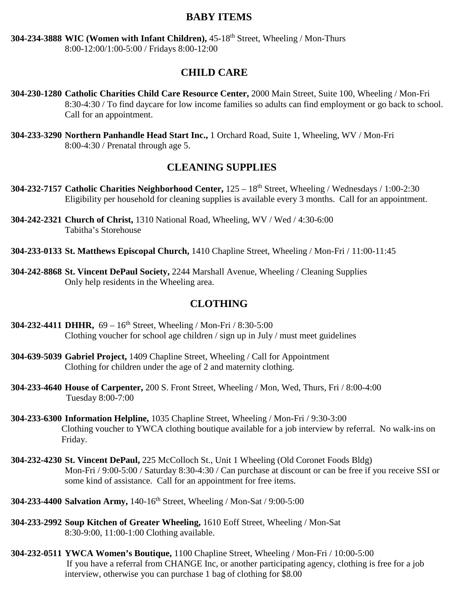#### **BABY ITEMS**

**304-234-3888 WIC (Women with Infant Children),** 45-18th Street, Wheeling / Mon-Thurs 8:00-12:00/1:00-5:00 / Fridays 8:00-12:00

#### **CHILD CARE**

- **304-230-1280 Catholic Charities Child Care Resource Center,** 2000 Main Street, Suite 100, Wheeling / Mon-Fri 8:30-4:30 / To find daycare for low income families so adults can find employment or go back to school. Call for an appointment.
- **304-233-3290 Northern Panhandle Head Start Inc.,** 1 Orchard Road, Suite 1, Wheeling, WV / Mon-Fri 8:00-4:30 / Prenatal through age 5.

#### **CLEANING SUPPLIES**

- **304-232-7157 Catholic Charities Neighborhood Center,** 125 18th Street, Wheeling / Wednesdays / 1:00-2:30 Eligibility per household for cleaning supplies is available every 3 months. Call for an appointment.
- **304-242-2321 Church of Christ,** 1310 National Road, Wheeling, WV / Wed / 4:30-6:00 Tabitha's Storehouse
- **304-233-0133 St. Matthews Episcopal Church,** 1410 Chapline Street, Wheeling / Mon-Fri / 11:00-11:45
- **304-242-8868 St. Vincent DePaul Society,** 2244 Marshall Avenue, Wheeling / Cleaning Supplies Only help residents in the Wheeling area.

#### **CLOTHING**

- **304-232-4411 DHHR,** 69 16th Street, Wheeling / Mon-Fri / 8:30-5:00 Clothing voucher for school age children / sign up in July / must meet guidelines
- **304-639-5039 Gabriel Project,** 1409 Chapline Street, Wheeling / Call for Appointment Clothing for children under the age of 2 and maternity clothing.
- **304-233-4640 House of Carpenter,** 200 S. Front Street, Wheeling / Mon, Wed, Thurs, Fri / 8:00-4:00 Tuesday 8:00-7:00
- **304-233-6300 Information Helpline,** 1035 Chapline Street, Wheeling / Mon-Fri / 9:30-3:00 Clothing voucher to YWCA clothing boutique available for a job interview by referral. No walk-ins on Friday.
- **304-232-4230 St. Vincent DePaul,** 225 McColloch St., Unit 1 Wheeling (Old Coronet Foods Bldg) Mon-Fri / 9:00-5:00 / Saturday 8:30-4:30 / Can purchase at discount or can be free if you receive SSI or some kind of assistance. Call for an appointment for free items.
- **304-233-4400 Salvation Army,** 140-16th Street, Wheeling / Mon-Sat / 9:00-5:00
- **304-233-2992 Soup Kitchen of Greater Wheeling,** 1610 Eoff Street, Wheeling / Mon-Sat 8:30-9:00, 11:00-1:00 Clothing available.
- **304-232-0511 YWCA Women's Boutique,** 1100 Chapline Street, Wheeling / Mon-Fri / 10:00-5:00 If you have a referral from CHANGE Inc, or another participating agency, clothing is free for a job interview, otherwise you can purchase 1 bag of clothing for \$8.00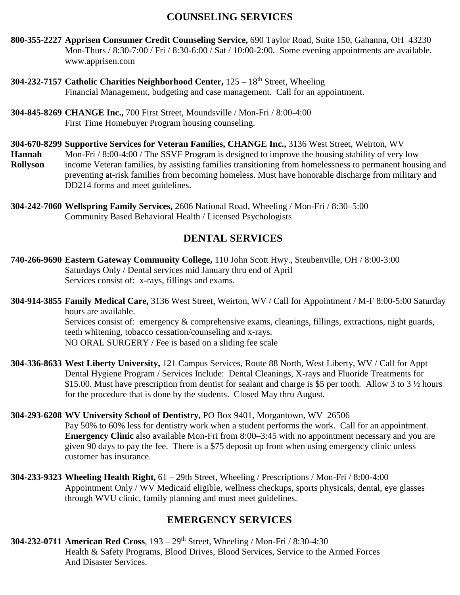# **COUNSELING SERVICES**

- **800-355-2227 Apprisen Consumer Credit Counseling Service,** 690 Taylor Road, Suite 150, Gahanna, OH 43230 Mon-Thurs / 8:30-7:00 / Fri / 8:30-6:00 / Sat / 10:00-2:00. Some evening appointments are available. www.apprisen.com
- **304-232-7157 Catholic Charities Neighborhood Center,** 125 18th Street, Wheeling Financial Management, budgeting and case management. Call for an appointment.
- **304-845-8269 CHANGE Inc.,** 700 First Street, Moundsville / Mon-Fri / 8:00-4:00 First Time Homebuyer Program housing counseling.
- **304-670-8299 Supportive Services for Veteran Families, CHANGE Inc.,** 3136 West Street, Weirton, WV
- **Hannah** Mon-Fri / 8:00-4:00 / The SSVF Program is designed to improve the housing stability of very low **Rollyson** income Veteran families, by assisting families transitioning from homelessness to permanent housing and preventing at-risk families from becoming homeless. Must have honorable discharge from military and DD214 forms and meet guidelines.
- **304-242-7060 Wellspring Family Services,** 2606 National Road, Wheeling / Mon-Fri / 8:30–5:00 Community Based Behavioral Health / Licensed Psychologists

# **DENTAL SERVICES**

- **740-266-9690 Eastern Gateway Community College,** 110 John Scott Hwy., Steubenville, OH / 8:00-3:00 Saturdays Only / Dental services mid January thru end of April Services consist of: x-rays, fillings and exams.
- **304-914-3855 Family Medical Care,** 3136 West Street, Weirton, WV / Call for Appointment / M-F 8:00-5:00 Saturday hours are available. Services consist of: emergency & comprehensive exams, cleanings, fillings, extractions, night guards, teeth whitening, tobacco cessation/counseling and x-rays.

NO ORAL SURGERY / Fee is based on a sliding fee scale

- **304-336-8633 West Liberty University,** 121 Campus Services, Route 88 North, West Liberty, WV / Call for Appt Dental Hygiene Program / Services Include: Dental Cleanings, X-rays and Fluoride Treatments for \$15.00. Must have prescription from dentist for sealant and charge is \$5 per tooth. Allow 3 to 3 ½ hours for the procedure that is done by the students. Closed May thru August.
- **304-293-6208 WV University School of Dentistry,** PO Box 9401, Morgantown, WV 26506 Pay 50% to 60% less for dentistry work when a student performs the work. Call for an appointment. **Emergency Clinic** also available Mon-Fri from 8:00–3:45 with no appointment necessary and you are given 90 days to pay the fee. There is a \$75 deposit up front when using emergency clinic unless customer has insurance.
- **304-233-9323 Wheeling Health Right,** 61 29th Street, Wheeling / Prescriptions / Mon-Fri / 8:00-4:00 Appointment Only / WV Medicaid eligible, wellness checkups, sports physicals, dental, eye glasses through WVU clinic, family planning and must meet guidelines.

# **EMERGENCY SERVICES**

**304-232-0711 American Red Cross**, 193 – 29th Street, Wheeling / Mon-Fri / 8:30-4:30 Health & Safety Programs, Blood Drives, Blood Services, Service to the Armed Forces And Disaster Services.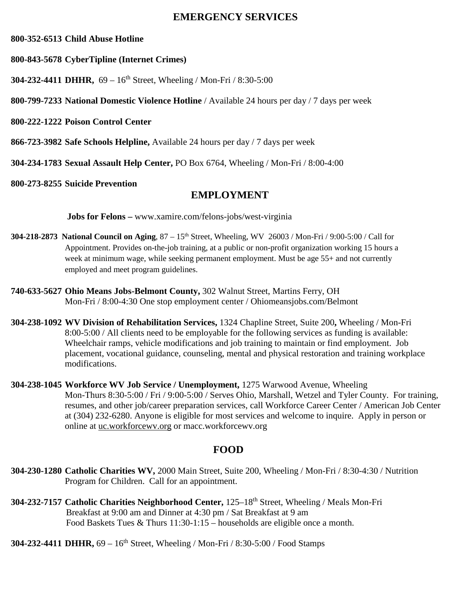#### **EMERGENCY SERVICES**

#### **800-352-6513 Child Abuse Hotline**

- **800-843-5678 CyberTipline (Internet Crimes)**
- **304-232-4411 DHHR,** 69 16th Street, Wheeling / Mon-Fri / 8:30-5:00
- **800-799-7233 National Domestic Violence Hotline** / Available 24 hours per day / 7 days per week
- **800-222-1222 Poison Control Center**
- **866-723-3982 Safe Schools Helpline,** Available 24 hours per day / 7 days per week
- **304-234-1783 Sexual Assault Help Center,** PO Box 6764, Wheeling / Mon-Fri / 8:00-4:00
- **800-273-8255 Suicide Prevention**

### **EMPLOYMENT**

 **Jobs for Felons –** www.xamire.com/felons-jobs/west-virginia

- **304-218-2873 National Council on Aging**,  $87 15<sup>th</sup>$  Street, Wheeling, WV 26003 / Mon-Fri / 9:00-5:00 / Call for Appointment. Provides on-the-job training, at a public or non-profit organization working 15 hours a week at minimum wage, while seeking permanent employment. Must be age 55+ and not currently employed and meet program guidelines.
- **740-633-5627 Ohio Means Jobs-Belmont County,** 302 Walnut Street, Martins Ferry, OH Mon-Fri / 8:00-4:30 One stop employment center / Ohiomeansjobs.com/Belmont
- **304-238-1092 WV Division of Rehabilitation Services,** 1324 Chapline Street, Suite 200**,** Wheeling / Mon-Fri 8:00-5:00 / All clients need to be employable for the following services as funding is available: Wheelchair ramps, vehicle modifications and job training to maintain or find employment. Job placement, vocational guidance, counseling, mental and physical restoration and training workplace modifications.
- **304-238-1045 Workforce WV Job Service / Unemployment,** 1275 Warwood Avenue, Wheeling Mon-Thurs 8:30-5:00 / Fri / 9:00-5:00 / Serves Ohio, Marshall, Wetzel and Tyler County. For training, resumes, and other job/career preparation services, call Workforce Career Center / American Job Center at (304) 232-6280. Anyone is eligible for most services and welcome to inquire. Apply in person or online at uc.workforcewv.org or macc.workforcewv.org

# **FOOD**

- **304-230-1280 Catholic Charities WV,** 2000 Main Street, Suite 200, Wheeling / Mon-Fri / 8:30-4:30 / Nutrition Program for Children. Call for an appointment.
- **304-232-7157 Catholic Charities Neighborhood Center,** 125–18th Street, Wheeling / Meals Mon-Fri Breakfast at 9:00 am and Dinner at 4:30 pm / Sat Breakfast at 9 am Food Baskets Tues & Thurs 11:30-1:15 – households are eligible once a month.
- **304-232-4411 DHHR,**  $69 16$ <sup>th</sup> Street, Wheeling / Mon-Fri / 8:30-5:00 / Food Stamps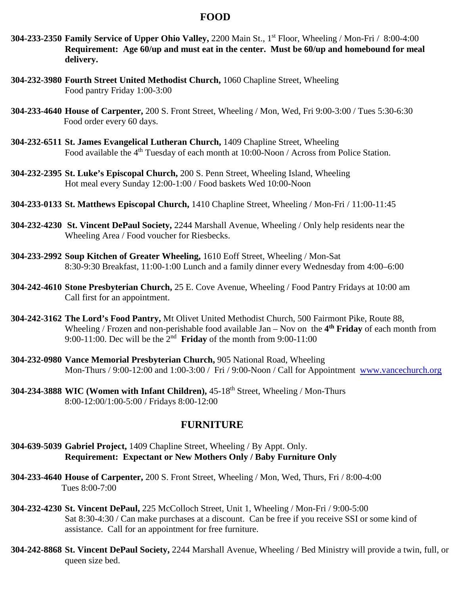#### **FOOD**

- **304-233-2350 Family Service of Upper Ohio Valley,** 2200 Main St., 1st Floor, Wheeling / Mon-Fri / 8:00-4:00 **Requirement: Age 60/up and must eat in the center. Must be 60/up and homebound for meal delivery.**
- **304-232-3980 Fourth Street United Methodist Church,** 1060 Chapline Street, Wheeling Food pantry Friday 1:00-3:00
- **304-233-4640 House of Carpenter,** 200 S. Front Street, Wheeling / Mon, Wed, Fri 9:00-3:00 / Tues 5:30-6:30 Food order every 60 days.
- **304-232-6511 St. James Evangelical Lutheran Church,** 1409 Chapline Street, Wheeling Food available the 4<sup>th</sup> Tuesday of each month at 10:00-Noon / Across from Police Station.
- **304-232-2395 St. Luke's Episcopal Church,** 200 S. Penn Street, Wheeling Island, Wheeling Hot meal every Sunday 12:00-1:00 / Food baskets Wed 10:00-Noon
- **304-233-0133 St. Matthews Episcopal Church,** 1410 Chapline Street, Wheeling / Mon-Fri / 11:00-11:45
- **304-232-4230 St. Vincent DePaul Society,** 2244 Marshall Avenue, Wheeling / Only help residents near the Wheeling Area / Food voucher for Riesbecks.
- **304-233-2992 Soup Kitchen of Greater Wheeling,** 1610 Eoff Street, Wheeling / Mon-Sat 8:30-9:30 Breakfast, 11:00-1:00 Lunch and a family dinner every Wednesday from 4:00–6:00
- **304-242-4610 Stone Presbyterian Church,** 25 E. Cove Avenue, Wheeling / Food Pantry Fridays at 10:00 am Call first for an appointment.
- **304-242-3162 The Lord's Food Pantry,** Mt Olivet United Methodist Church, 500 Fairmont Pike, Route 88, Wheeling / Frozen and non-perishable food available Jan – Nov on the **4th Friday** of each month from 9:00-11:00. Dec will be the 2nd **Friday** of the month from 9:00-11:00
- **304-232-0980 Vance Memorial Presbyterian Church,** 905 National Road, Wheeling Mon-Thurs / 9:00-12:00 and 1:00-3:00 / Fri / 9:00-Noon / Call for Appointment [www.vancechurch.org](http://www.vancechurch.org/)
- **304-234-3888 WIC (Women with Infant Children),** 45-18th Street, Wheeling / Mon-Thurs 8:00-12:00/1:00-5:00 / Fridays 8:00-12:00

#### **FURNITURE**

- **304-639-5039 Gabriel Project,** 1409 Chapline Street, Wheeling / By Appt. Only. **Requirement: Expectant or New Mothers Only / Baby Furniture Only**
- **304-233-4640 House of Carpenter,** 200 S. Front Street, Wheeling / Mon, Wed, Thurs, Fri / 8:00-4:00 Tues 8:00-7:00
- **304-232-4230 St. Vincent DePaul,** 225 McColloch Street, Unit 1, Wheeling / Mon-Fri / 9:00-5:00 Sat 8:30-4:30 / Can make purchases at a discount. Can be free if you receive SSI or some kind of assistance. Call for an appointment for free furniture.
- **304-242-8868 St. Vincent DePaul Society,** 2244 Marshall Avenue, Wheeling / Bed Ministry will provide a twin, full, or queen size bed.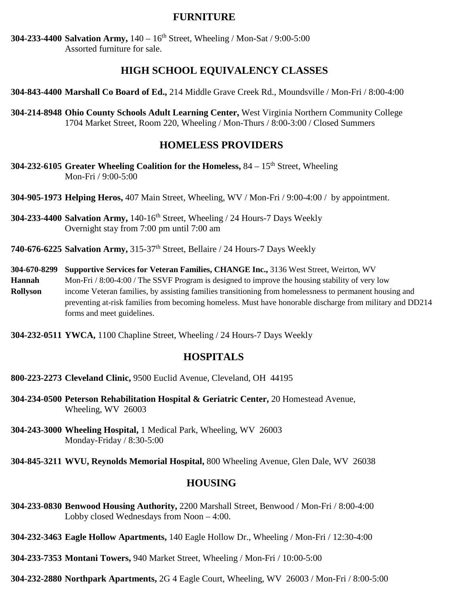#### **FURNITURE**

**304-233-4400 Salvation Army,** 140 – 16th Street, Wheeling / Mon-Sat / 9:00-5:00 Assorted furniture for sale.

### **HIGH SCHOOL EQUIVALENCY CLASSES**

**304-843-4400 Marshall Co Board of Ed.,** 214 Middle Grave Creek Rd., Moundsville / Mon-Fri / 8:00-4:00

**304-214-8948 Ohio County Schools Adult Learning Center,** West Virginia Northern Community College 1704 Market Street, Room 220, Wheeling / Mon-Thurs / 8:00-3:00 / Closed Summers

#### **HOMELESS PROVIDERS**

- **304-232-6105** Greater Wheeling Coalition for the Homeless, 84 15<sup>th</sup> Street. Wheeling Mon-Fri / 9:00-5:00
- **304-905-1973 Helping Heros,** 407 Main Street, Wheeling, WV / Mon-Fri / 9:00-4:00 / by appointment.
- **304-233-4400 Salvation Army,** 140-16th Street, Wheeling / 24 Hours-7 Days Weekly Overnight stay from 7:00 pm until 7:00 am
- **740-676-6225 Salvation Army,** 315-37th Street, Bellaire / 24 Hours-7 Days Weekly
- **304-670-8299 Supportive Services for Veteran Families, CHANGE Inc.,** 3136 West Street, Weirton, WV **Hannah** Mon-Fri / 8:00-4:00 / The SSVF Program is designed to improve the housing stability of very low **Rollyson** income Veteran families, by assisting families transitioning from homelessness to permanent housing and preventing at-risk families from becoming homeless. Must have honorable discharge from military and DD214 forms and meet guidelines.
- **304-232-0511 YWCA,** 1100 Chapline Street, Wheeling / 24 Hours-7 Days Weekly

#### **HOSPITALS**

- **800-223-2273 Cleveland Clinic,** 9500 Euclid Avenue, Cleveland, OH 44195
- **304-234-0500 Peterson Rehabilitation Hospital & Geriatric Center,** 20 Homestead Avenue, Wheeling, WV 26003
- **304-243-3000 Wheeling Hospital,** 1 Medical Park, Wheeling, WV 26003 Monday-Friday / 8:30-5:00

**304-845-3211 WVU, Reynolds Memorial Hospital,** 800 Wheeling Avenue, Glen Dale, WV 26038

#### **HOUSING**

- **304-233-0830 Benwood Housing Authority,** 2200 Marshall Street, Benwood / Mon-Fri / 8:00-4:00 Lobby closed Wednesdays from Noon – 4:00.
- **304-232-3463 Eagle Hollow Apartments,** 140 Eagle Hollow Dr., Wheeling / Mon-Fri / 12:30-4:00
- **304-233-7353 Montani Towers,** 940 Market Street, Wheeling / Mon-Fri / 10:00-5:00
- **304-232-2880 Northpark Apartments,** 2G 4 Eagle Court, Wheeling, WV 26003 / Mon-Fri / 8:00-5:00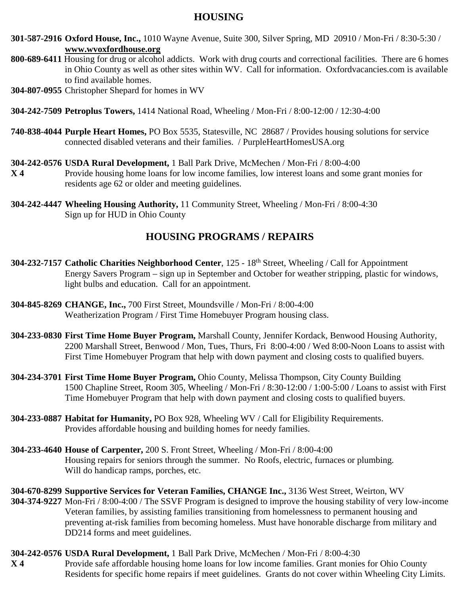# **HOUSING**

- **301-587-2916 Oxford House, Inc.,** 1010 Wayne Avenue, Suite 300, Silver Spring, MD 20910 / Mon-Fri / 8:30-5:30 / **[www.wvoxfordhouse.org](http://www.wvoxfordhouse.org/)**
- **800-689-6411** Housing for drug or alcohol addicts. Work with drug courts and correctional facilities. There are 6 homes in Ohio County as well as other sites within WV. Call for information. Oxfordvacancies.com is available to find available homes.
- **304-807-0955** Christopher Shepard for homes in WV
- **304-242-7509 Petroplus Towers,** 1414 National Road, Wheeling / Mon-Fri / 8:00-12:00 / 12:30-4:00
- **740-838-4044 Purple Heart Homes,** PO Box 5535, Statesville, NC 28687 / Provides housing solutions for service connected disabled veterans and their families. / PurpleHeartHomesUSA.org
- **304-242-0576 USDA Rural Development,** 1 Ball Park Drive, McMechen / Mon-Fri / 8:00-4:00
- **X 4** Provide housing home loans for low income families, low interest loans and some grant monies for residents age 62 or older and meeting guidelines.
- **304-242-4447 Wheeling Housing Authority,** 11 Community Street, Wheeling / Mon-Fri / 8:00-4:30 Sign up for HUD in Ohio County

# **HOUSING PROGRAMS / REPAIRS**

- **304-232-7157 Catholic Charities Neighborhood Center**, 125 18th Street, Wheeling / Call for Appointment Energy Savers Program – sign up in September and October for weather stripping, plastic for windows, light bulbs and education. Call for an appointment.
- **304-845-8269 CHANGE, Inc.,** 700 First Street, Moundsville / Mon-Fri / 8:00-4:00 Weatherization Program / First Time Homebuyer Program housing class.
- **304-233-0830 First Time Home Buyer Program,** Marshall County, Jennifer Kordack, Benwood Housing Authority, 2200 Marshall Street, Benwood / Mon, Tues, Thurs, Fri 8:00-4:00 / Wed 8:00-Noon Loans to assist with First Time Homebuyer Program that help with down payment and closing costs to qualified buyers.
- **304-234-3701 First Time Home Buyer Program,** Ohio County, Melissa Thompson, City County Building 1500 Chapline Street, Room 305, Wheeling / Mon-Fri / 8:30-12:00 / 1:00-5:00 / Loans to assist with First Time Homebuyer Program that help with down payment and closing costs to qualified buyers.
- **304-233-0887 Habitat for Humanity,** PO Box 928, Wheeling WV / Call for Eligibility Requirements. Provides affordable housing and building homes for needy families.
- **304-233-4640 House of Carpenter,** 200 S. Front Street, Wheeling / Mon-Fri / 8:00-4:00 Housing repairs for seniors through the summer. No Roofs, electric, furnaces or plumbing. Will do handicap ramps, porches, etc.
- **304-670-8299 Supportive Services for Veteran Families, CHANGE Inc.,** 3136 West Street, Weirton, WV **304-374-9227** Mon-Fri / 8:00-4:00 / The SSVF Program is designed to improve the housing stability of very low-income Veteran families, by assisting families transitioning from homelessness to permanent housing and preventing at-risk families from becoming homeless. Must have honorable discharge from military and DD214 forms and meet guidelines.
- **304-242-0576 USDA Rural Development,** 1 Ball Park Drive, McMechen / Mon-Fri / 8:00-4:30 **X 4** Provide safe affordable housing home loans for low income families. Grant monies for Ohio County Residents for specific home repairs if meet guidelines. Grants do not cover within Wheeling City Limits.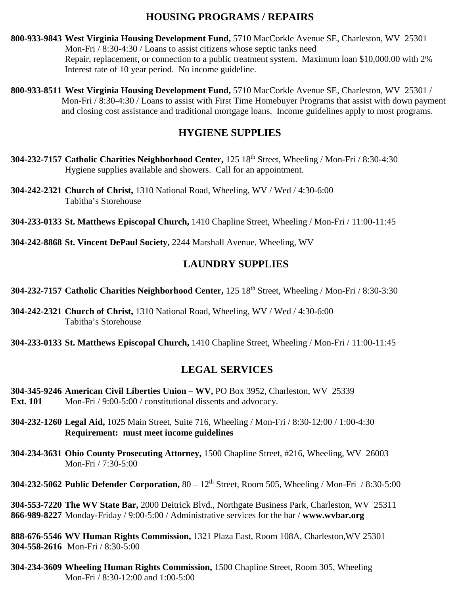# **HOUSING PROGRAMS / REPAIRS**

- **800-933-9843 West Virginia Housing Development Fund,** 5710 MacCorkle Avenue SE, Charleston, WV 25301 Mon-Fri / 8:30-4:30 / Loans to assist citizens whose septic tanks need Repair, replacement, or connection to a public treatment system. Maximum loan \$10,000.00 with 2% Interest rate of 10 year period. No income guideline.
- **800-933-8511 West Virginia Housing Development Fund,** 5710 MacCorkle Avenue SE, Charleston, WV 25301 / Mon-Fri / 8:30-4:30 / Loans to assist with First Time Homebuyer Programs that assist with down payment and closing cost assistance and traditional mortgage loans. Income guidelines apply to most programs.

# **HYGIENE SUPPLIES**

- **304-232-7157 Catholic Charities Neighborhood Center,** 125 18th Street, Wheeling / Mon-Fri / 8:30-4:30 Hygiene supplies available and showers. Call for an appointment.
- **304-242-2321 Church of Christ,** 1310 National Road, Wheeling, WV / Wed / 4:30-6:00 Tabitha's Storehouse
- **304-233-0133 St. Matthews Episcopal Church,** 1410 Chapline Street, Wheeling / Mon-Fri / 11:00-11:45
- **304-242-8868 St. Vincent DePaul Society,** 2244 Marshall Avenue, Wheeling, WV

# **LAUNDRY SUPPLIES**

- **304-232-7157 Catholic Charities Neighborhood Center,** 125 18th Street, Wheeling / Mon-Fri / 8:30-3:30
- **304-242-2321 Church of Christ,** 1310 National Road, Wheeling, WV / Wed / 4:30-6:00 Tabitha's Storehouse
- **304-233-0133 St. Matthews Episcopal Church,** 1410 Chapline Street, Wheeling / Mon-Fri / 11:00-11:45

# **LEGAL SERVICES**

- **304-345-9246 American Civil Liberties Union – WV,** PO Box 3952, Charleston, WV 25339 **Ext. 101** Mon-Fri / 9:00-5:00 / constitutional dissents and advocacy.
- **304-232-1260 Legal Aid,** 1025 Main Street, Suite 716, Wheeling / Mon-Fri / 8:30-12:00 / 1:00-4:30 **Requirement: must meet income guidelines**
- **304-234-3631 Ohio County Prosecuting Attorney,** 1500 Chapline Street, #216, Wheeling, WV 26003 Mon-Fri / 7:30-5:00
- **304-232-5062 Public Defender Corporation,** 80 12th Street, Room 505, Wheeling / Mon-Fri / 8:30-5:00

**304-553-7220 The WV State Bar,** 2000 Deitrick Blvd., Northgate Business Park, Charleston, WV 25311 **866-989-8227** Monday-Friday / 9:00-5:00 / Administrative services for the bar / **www.wvbar.org**

**888-676-5546 WV Human Rights Commission,** 1321 Plaza East, Room 108A, Charleston,WV 25301 **304-558-2616** Mon-Fri / 8:30-5:00

**304-234-3609 Wheeling Human Rights Commission,** 1500 Chapline Street, Room 305, Wheeling Mon-Fri / 8:30-12:00 and 1:00-5:00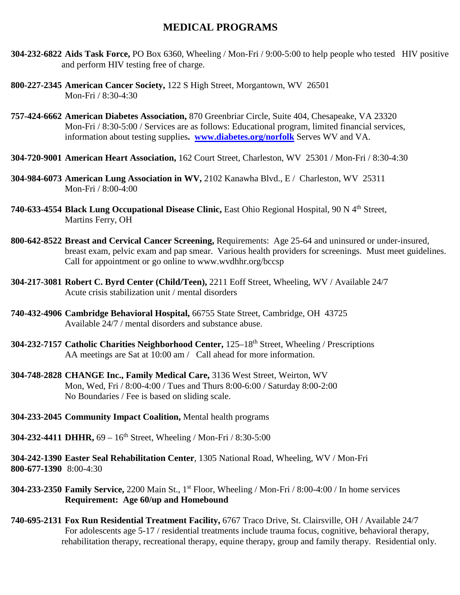#### **MEDICAL PROGRAMS**

- **304-232-6822 Aids Task Force,** PO Box 6360, Wheeling / Mon-Fri / 9:00-5:00 to help people who tested HIV positive and perform HIV testing free of charge.
- **800-227-2345 American Cancer Society,** 122 S High Street, Morgantown, WV 26501 Mon-Fri / 8:30-4:30
- **757-424-6662 American Diabetes Association,** 870 Greenbriar Circle, Suite 404, Chesapeake, VA 23320 Mon-Fri / 8:30-5:00 / Services are as follows: Educational program, limited financial services, information about testing supplies**. [www.diabetes.org/norfolk](http://www.diabetes.org/norfolk)** Serves WV and VA.
- **304-720-9001 American Heart Association,** 162 Court Street, Charleston, WV 25301 / Mon-Fri / 8:30-4:30
- **304-984-6073 American Lung Association in WV,** 2102 Kanawha Blvd., E / Charleston, WV 25311 Mon-Fri / 8:00-4:00
- **740-633-4554 Black Lung Occupational Disease Clinic,** East Ohio Regional Hospital, 90 N 4th Street, Martins Ferry, OH
- **800-642-8522 Breast and Cervical Cancer Screening,** Requirements: Age 25-64 and uninsured or under-insured, breast exam, pelvic exam and pap smear. Various health providers for screenings. Must meet guidelines. Call for appointment or go online to www.wvdhhr.org/bccsp
- **304-217-3081 Robert C. Byrd Center (Child/Teen),** 2211 Eoff Street, Wheeling, WV / Available 24/7 Acute crisis stabilization unit / mental disorders
- **740-432-4906 Cambridge Behavioral Hospital,** 66755 State Street, Cambridge, OH 43725 Available 24/7 / mental disorders and substance abuse.
- **304-232-7157 Catholic Charities Neighborhood Center,** 125–18th Street, Wheeling / Prescriptions AA meetings are Sat at 10:00 am / Call ahead for more information.
- **304-748-2828 CHANGE Inc., Family Medical Care,** 3136 West Street, Weirton, WV Mon, Wed, Fri / 8:00-4:00 / Tues and Thurs 8:00-6:00 / Saturday 8:00-2:00 No Boundaries / Fee is based on sliding scale.
- **304-233-2045 Community Impact Coalition,** Mental health programs

**304-232-4411 DHHR,** 69 – 16th Street, Wheeling / Mon-Fri / 8:30-5:00

**304-242-1390 Easter Seal Rehabilitation Center**, 1305 National Road, Wheeling, WV / Mon-Fri **800-677-1390** 8:00-4:30

- **304-233-2350 Family Service,** 2200 Main St., 1st Floor, Wheeling / Mon-Fri / 8:00-4:00 / In home services **Requirement: Age 60/up and Homebound**
- **740-695-2131 Fox Run Residential Treatment Facility,** 6767 Traco Drive, St. Clairsville, OH / Available 24/7 For adolescents age 5-17 / residential treatments include trauma focus, cognitive, behavioral therapy, rehabilitation therapy, recreational therapy, equine therapy, group and family therapy. Residential only.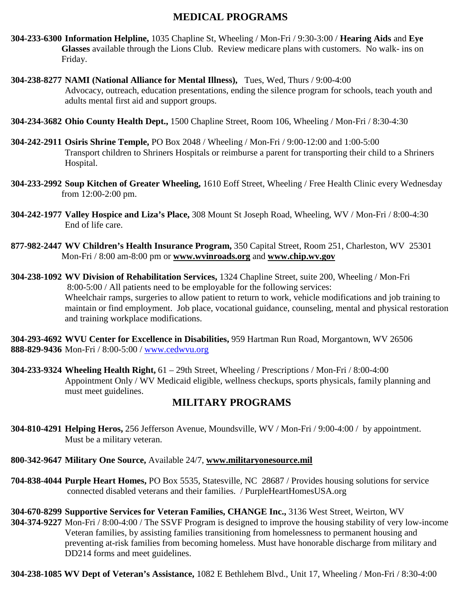# **MEDICAL PROGRAMS**

- **304-233-6300 Information Helpline,** 1035 Chapline St, Wheeling / Mon-Fri / 9:30-3:00 / **Hearing Aids** and **Eye Glasses** available through the Lions Club. Review medicare plans with customers. No walk- ins on Friday.
- **304-238-8277 NAMI (National Alliance for Mental Illness),** Tues, Wed, Thurs / 9:00-4:00 Advocacy, outreach, education presentations, ending the silence program for schools, teach youth and adults mental first aid and support groups.
- **304-234-3682 Ohio County Health Dept.,** 1500 Chapline Street, Room 106, Wheeling / Mon-Fri / 8:30-4:30
- **304-242-2911 Osiris Shrine Temple,** PO Box 2048 / Wheeling / Mon-Fri / 9:00-12:00 and 1:00-5:00 Transport children to Shriners Hospitals or reimburse a parent for transporting their child to a Shriners Hospital.
- **304-233-2992 Soup Kitchen of Greater Wheeling,** 1610 Eoff Street, Wheeling / Free Health Clinic every Wednesday from 12:00-2:00 pm.
- **304-242-1977 Valley Hospice and Liza's Place,** 308 Mount St Joseph Road, Wheeling, WV / Mon-Fri / 8:00-4:30 End of life care.
- **877-982-2447 WV Children's Health Insurance Program,** 350 Capital Street, Room 251, Charleston, WV 25301 Mon-Fri / 8:00 am-8:00 pm or **[www.wvinroads.org](http://www.wvinroads.org/)** and **[www.chip.wv.gov](http://www.chip.wv.gov/)**
- **304-238-1092 WV Division of Rehabilitation Services,** 1324 Chapline Street, suite 200, Wheeling / Mon-Fri 8:00-5:00 / All patients need to be employable for the following services: Wheelchair ramps, surgeries to allow patient to return to work, vehicle modifications and job training to maintain or find employment. Job place, vocational guidance, counseling, mental and physical restoration and training workplace modifications.

**304-293-4692 WVU Center for Excellence in Disabilities,** 959 Hartman Run Road, Morgantown, WV 26506 **888-829-9436** Mon-Fri / 8:00-5:00 / [www.cedwvu.org](http://www.cedwvu.org/)

**304-233-9324 Wheeling Health Right,** 61 – 29th Street, Wheeling / Prescriptions / Mon-Fri / 8:00-4:00 Appointment Only / WV Medicaid eligible, wellness checkups, sports physicals, family planning and must meet guidelines.

# **MILITARY PROGRAMS**

**304-810-4291 Helping Heros,** 256 Jefferson Avenue, Moundsville, WV / Mon-Fri / 9:00-4:00 / by appointment. Must be a military veteran.

**800-342-9647 Military One Source,** Available 24/7, **[www.militaryonesource.mil](http://www.militaryonesource.mil/)**

- **704-838-4044 Purple Heart Homes,** PO Box 5535, Statesville, NC 28687 / Provides housing solutions for service connected disabled veterans and their families. / PurpleHeartHomesUSA.org
- **304-670-8299 Supportive Services for Veteran Families, CHANGE Inc.,** 3136 West Street, Weirton, WV **304-374-9227** Mon-Fri / 8:00-4:00 / The SSVF Program is designed to improve the housing stability of very low-income Veteran families, by assisting families transitioning from homelessness to permanent housing and preventing at-risk families from becoming homeless. Must have honorable discharge from military and DD214 forms and meet guidelines.

**304-238-1085 WV Dept of Veteran's Assistance,** 1082 E Bethlehem Blvd., Unit 17, Wheeling / Mon-Fri / 8:30-4:00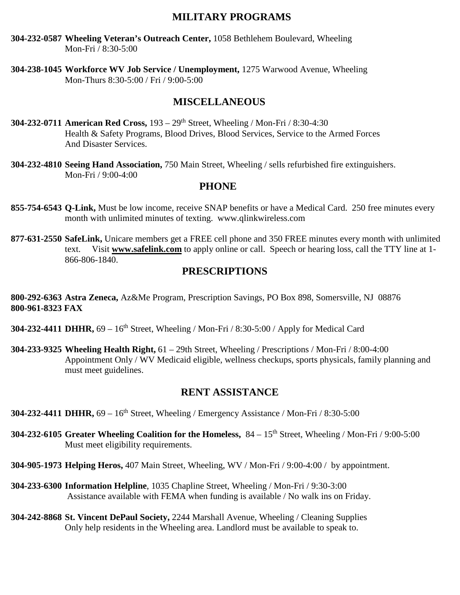## **MILITARY PROGRAMS**

**304-232-0587 Wheeling Veteran's Outreach Center,** 1058 Bethlehem Boulevard, Wheeling Mon-Fri / 8:30-5:00

**304-238-1045 Workforce WV Job Service / Unemployment,** 1275 Warwood Avenue, Wheeling Mon-Thurs 8:30-5:00 / Fri / 9:00-5:00

# **MISCELLANEOUS**

- **304-232-0711 American Red Cross,** 193 29th Street, Wheeling / Mon-Fri / 8:30-4:30 Health & Safety Programs, Blood Drives, Blood Services, Service to the Armed Forces And Disaster Services.
- **304-232-4810 Seeing Hand Association,** 750 Main Street, Wheeling / sells refurbished fire extinguishers. Mon-Fri / 9:00-4:00

#### **PHONE**

- **855-754-6543 Q-Link,** Must be low income, receive SNAP benefits or have a Medical Card. 250 free minutes every month with unlimited minutes of texting. www.qlinkwireless.com
- **877-631-2550 SafeLink,** Unicare members get a FREE cell phone and 350 FREE minutes every month with unlimited text. Visit **[www.safelink.com](http://www.safelink.com/)** to apply online or call. Speech or hearing loss, call the TTY line at 1- 866-806-1840.

#### **PRESCRIPTIONS**

**800-292-6363 Astra Zeneca,** Az&Me Program, Prescription Savings, PO Box 898, Somersville, NJ 08876 **800-961-8323 FAX**

- **304-232-4411 DHHR,** 69 16<sup>th</sup> Street, Wheeling / Mon-Fri / 8:30-5:00 / Apply for Medical Card
- **304-233-9325 Wheeling Health Right,** 61 29th Street, Wheeling / Prescriptions / Mon-Fri / 8:00-4:00 Appointment Only / WV Medicaid eligible, wellness checkups, sports physicals, family planning and must meet guidelines.

### **RENT ASSISTANCE**

- **304-232-4411 DHHR,** 69 16th Street, Wheeling / Emergency Assistance / Mon-Fri / 8:30-5:00
- **304-232-6105** Greater Wheeling Coalition for the Homeless,  $84 15<sup>th</sup>$  Street, Wheeling / Mon-Fri / 9:00-5:00 Must meet eligibility requirements.
- **304-905-1973 Helping Heros,** 407 Main Street, Wheeling, WV / Mon-Fri / 9:00-4:00 / by appointment.
- **304-233-6300 Information Helpline**, 1035 Chapline Street, Wheeling / Mon-Fri / 9:30-3:00 Assistance available with FEMA when funding is available / No walk ins on Friday.
- **304-242-8868 St. Vincent DePaul Society,** 2244 Marshall Avenue, Wheeling / Cleaning Supplies Only help residents in the Wheeling area. Landlord must be available to speak to.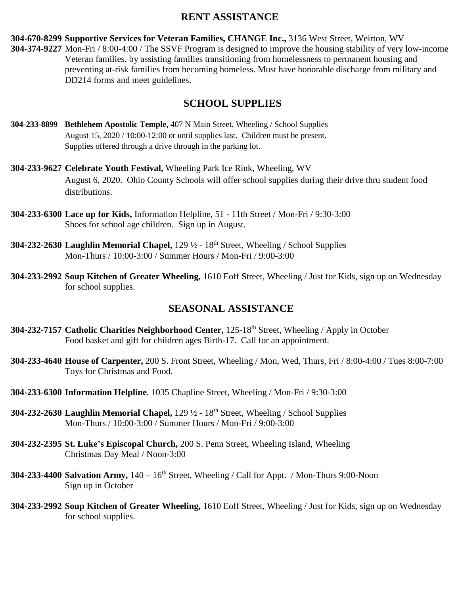#### **RENT ASSISTANCE**

**304-670-8299 Supportive Services for Veteran Families, CHANGE Inc.,** 3136 West Street, Weirton, WV **304-374-9227** Mon-Fri / 8:00-4:00 / The SSVF Program is designed to improve the housing stability of very low-income Veteran families, by assisting families transitioning from homelessness to permanent housing and preventing at-risk families from becoming homeless. Must have honorable discharge from military and DD214 forms and meet guidelines.

## **SCHOOL SUPPLIES**

- **304-233-8899 Bethlehem Apostolic Temple,** 407 N Main Street, Wheeling / School Supplies August 15, 2020 / 10:00-12:00 or until supplies last. Children must be present. Supplies offered through a drive through in the parking lot.
- **304-233-9627 Celebrate Youth Festival,** Wheeling Park Ice Rink, Wheeling, WV August 6, 2020. Ohio County Schools will offer school supplies during their drive thru student food distributions.
- **304-233-6300 Lace up for Kids,** Information Helpline, 51 11th Street / Mon-Fri / 9:30-3:00 Shoes for school age children. Sign up in August.
- **304-232-2630 Laughlin Memorial Chapel,** 129 ½ 18th Street, Wheeling / School Supplies Mon-Thurs / 10:00-3:00 / Summer Hours / Mon-Fri / 9:00-3:00
- **304-233-2992 Soup Kitchen of Greater Wheeling,** 1610 Eoff Street, Wheeling / Just for Kids, sign up on Wednesday for school supplies.

# **SEASONAL ASSISTANCE**

- **304-232-7157 Catholic Charities Neighborhood Center,** 125-18th Street, Wheeling / Apply in October Food basket and gift for children ages Birth-17. Call for an appointment.
- **304-233-4640 House of Carpenter,** 200 S. Front Street, Wheeling / Mon, Wed, Thurs, Fri / 8:00-4:00 / Tues 8:00-7:00 Toys for Christmas and Food.
- **304-233-6300 Information Helpline**, 1035 Chapline Street, Wheeling / Mon-Fri / 9:30-3:00
- **304-232-2630 Laughlin Memorial Chapel,** 129 ½ 18th Street, Wheeling / School Supplies Mon-Thurs / 10:00-3:00 / Summer Hours / Mon-Fri / 9:00-3:00
- **304-232-2395 St. Luke's Episcopal Church,** 200 S. Penn Street, Wheeling Island, Wheeling Christmas Day Meal / Noon-3:00
- **304-233-4400 Salvation Army,**  $140 16^{th}$  Street, Wheeling / Call for Appt. / Mon-Thurs 9:00-Noon Sign up in October
- **304-233-2992 Soup Kitchen of Greater Wheeling,** 1610 Eoff Street, Wheeling / Just for Kids, sign up on Wednesday for school supplies.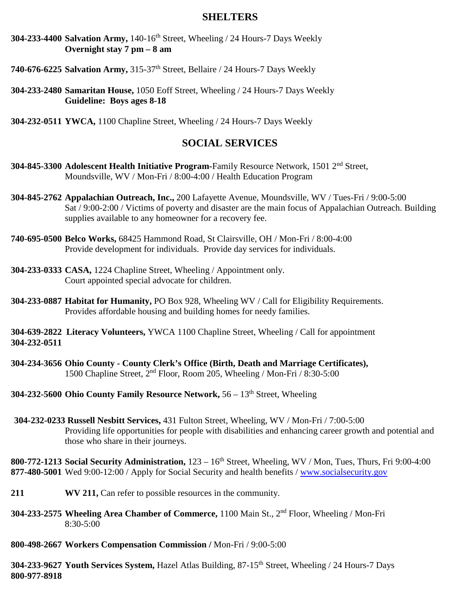#### **SHELTERS**

- **304-233-4400 Salvation Army,** 140-16th Street, Wheeling / 24 Hours-7 Days Weekly **Overnight stay 7 pm – 8 am**
- **740-676-6225 Salvation Army,** 315-37th Street, Bellaire / 24 Hours-7 Days Weekly
- **304-233-2480 Samaritan House,** 1050 Eoff Street, Wheeling / 24 Hours-7 Days Weekly **Guideline: Boys ages 8-18**
- **304-232-0511 YWCA,** 1100 Chapline Street, Wheeling / 24 Hours-7 Days Weekly

#### **SOCIAL SERVICES**

- **304-845-3300 Adolescent Health Initiative Program-**Family Resource Network, 1501 2nd Street, Moundsville, WV / Mon-Fri / 8:00-4:00 / Health Education Program
- **304-845-2762 Appalachian Outreach, Inc.,** 200 Lafayette Avenue, Moundsville, WV / Tues-Fri / 9:00-5:00 Sat / 9:00-2:00 / Victims of poverty and disaster are the main focus of Appalachian Outreach. Building supplies available to any homeowner for a recovery fee.
- **740-695-0500 Belco Works,** 68425 Hammond Road, St Clairsville, OH / Mon-Fri / 8:00-4:00 Provide development for individuals. Provide day services for individuals.
- **304-233-0333 CASA,** 1224 Chapline Street, Wheeling / Appointment only. Court appointed special advocate for children.
- **304-233-0887 Habitat for Humanity,** PO Box 928, Wheeling WV / Call for Eligibility Requirements. Provides affordable housing and building homes for needy families.

**304-639-2822 Literacy Volunteers,** YWCA 1100 Chapline Street, Wheeling / Call for appointment **304-232-0511**

- **304-234-3656 Ohio County - County Clerk's Office (Birth, Death and Marriage Certificates),**  1500 Chapline Street, 2nd Floor, Room 205, Wheeling / Mon-Fri / 8:30-5:00
- **304-232-5600 Ohio County Family Resource Network, 56 13<sup>th</sup> Street, Wheeling**
- **304-232-0233 Russell Nesbitt Services,** 431 Fulton Street, Wheeling, WV / Mon-Fri / 7:00-5:00 Providing life opportunities for people with disabilities and enhancing career growth and potential and those who share in their journeys.
- **800-772-1213** Social Security Administration,  $123 16$ <sup>th</sup> Street, Wheeling, WV / Mon, Tues, Thurs, Fri 9:00-4:00 **877-480-5001** Wed 9:00-12:00 / Apply for Social Security and health benefits / [www.socialsecurity.gov](http://www.socialsecurity.gov/)
- 211 **WV 211,** Can refer to possible resources in the community.
- **304-233-2575 Wheeling Area Chamber of Commerce,** 1100 Main St., 2nd Floor, Wheeling / Mon-Fri 8:30-5:00
- **800-498-2667 Workers Compensation Commission /** Mon-Fri / 9:00-5:00

**304-233-9627 Youth Services System,** Hazel Atlas Building, 87-15th Street, Wheeling / 24 Hours-7 Days **800-977-8918**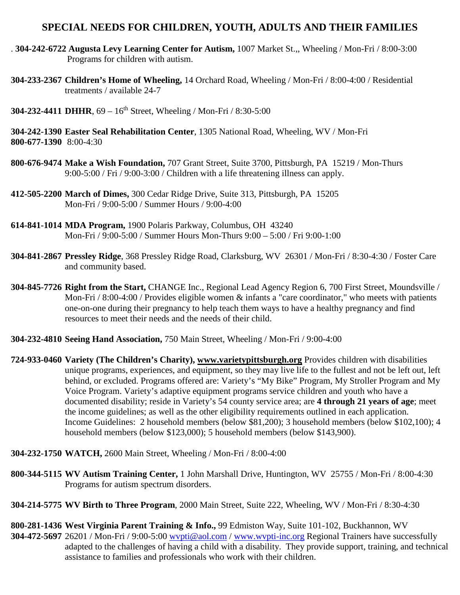### **SPECIAL NEEDS FOR CHILDREN, YOUTH, ADULTS AND THEIR FAMILIES**

- . **304-242-6722 Augusta Levy Learning Center for Autism,** 1007 Market St.,, Wheeling / Mon-Fri / 8:00-3:00 Programs for children with autism.
- **304-233-2367 Children's Home of Wheeling,** 14 Orchard Road, Wheeling / Mon-Fri / 8:00-4:00 / Residential treatments / available 24-7
- **304-232-4411 DHHR**, 69 16th Street, Wheeling / Mon-Fri / 8:30-5:00
- **304-242-1390 Easter Seal Rehabilitation Center**, 1305 National Road, Wheeling, WV / Mon-Fri **800-677-1390** 8:00-4:30
- **800-676-9474 Make a Wish Foundation,** 707 Grant Street, Suite 3700, Pittsburgh, PA 15219 / Mon-Thurs 9:00-5:00 / Fri / 9:00-3:00 / Children with a life threatening illness can apply.
- **412-505-2200 March of Dimes,** 300 Cedar Ridge Drive, Suite 313, Pittsburgh, PA 15205 Mon-Fri / 9:00-5:00 / Summer Hours / 9:00-4:00
- **614-841-1014 MDA Program,** 1900 Polaris Parkway, Columbus, OH 43240 Mon-Fri / 9:00-5:00 / Summer Hours Mon-Thurs 9:00 – 5:00 / Fri 9:00-1:00
- **304-841-2867 Pressley Ridge**, 368 Pressley Ridge Road, Clarksburg, WV 26301 / Mon-Fri / 8:30-4:30 / Foster Care and community based.
- **304-845-7726 Right from the Start,** CHANGE Inc., Regional Lead Agency Region 6, 700 First Street, Moundsville / Mon-Fri / 8:00-4:00 / Provides eligible women & infants a "care coordinator," who meets with patients one-on-one during their pregnancy to help teach them ways to have a healthy pregnancy and find resources to meet their needs and the needs of their child.
- **304-232-4810 Seeing Hand Association,** 750 Main Street, Wheeling / Mon-Fri / 9:00-4:00
- **724-933-0460 Variety (The Children's Charity), [www.varietypittsburgh.org](http://www.varietypittsburgh.org/)** Provides children with disabilities unique programs, experiences, and equipment, so they may live life to the fullest and not be left out, left behind, or excluded. Programs offered are: Variety's "My Bike" Program, My Stroller Program and My Voice Program. Variety's adaptive equipment programs service children and youth who have a documented disability; reside in Variety's 54 county service area; are **4 through 21 years of age**; meet the income guidelines; as well as the other eligibility requirements outlined in each application. Income Guidelines: 2 household members (below \$81,200); 3 household members (below \$102,100); 4 household members (below \$123,000); 5 household members (below \$143,900).
- **304-232-1750 WATCH,** 2600 Main Street, Wheeling / Mon-Fri / 8:00-4:00
- **800-344-5115 WV Autism Training Center,** 1 John Marshall Drive, Huntington, WV 25755 / Mon-Fri / 8:00-4:30 Programs for autism spectrum disorders.
- **304-214-5775 WV Birth to Three Program**, 2000 Main Street, Suite 222, Wheeling, WV / Mon-Fri / 8:30-4:30
- **800-281-1436 West Virginia Parent Training & Info.,** 99 Edmiston Way, Suite 101-102, Buckhannon, WV **304-472-5697** 26201 / Mon-Fri / 9:00-5:00 [wvpti@aol.com](mailto:wvpti@aol.com) / [www.wvpti-inc.org](http://www.wvpti-inc.org/) Regional Trainers have successfully adapted to the challenges of having a child with a disability. They provide support, training, and technical assistance to families and professionals who work with their children.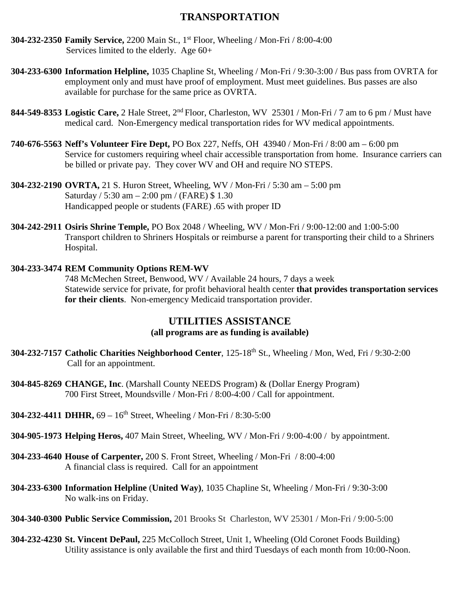# **TRANSPORTATION**

- **304-232-2350 Family Service,** 2200 Main St., 1st Floor, Wheeling / Mon-Fri / 8:00-4:00 Services limited to the elderly. Age 60+
- **304-233-6300 Information Helpline,** 1035 Chapline St, Wheeling / Mon-Fri / 9:30-3:00 / Bus pass from OVRTA for employment only and must have proof of employment. Must meet guidelines. Bus passes are also available for purchase for the same price as OVRTA.
- **844-549-8353 Logistic Care,** 2 Hale Street, 2nd Floor, Charleston, WV 25301 / Mon-Fri / 7 am to 6 pm / Must have medical card. Non-Emergency medical transportation rides for WV medical appointments.
- **740-676-5563 Neff's Volunteer Fire Dept,** PO Box 227, Neffs, OH 43940 / Mon-Fri / 8:00 am 6:00 pm Service for customers requiring wheel chair accessible transportation from home. Insurance carriers can be billed or private pay. They cover WV and OH and require NO STEPS.
- **304-232-2190 OVRTA,** 21 S. Huron Street, Wheeling, WV / Mon-Fri / 5:30 am 5:00 pm Saturday / 5:30 am – 2:00 pm / (FARE) \$ 1.30 Handicapped people or students (FARE) .65 with proper ID
- **304-242-2911 Osiris Shrine Temple,** PO Box 2048 / Wheeling, WV / Mon-Fri / 9:00-12:00 and 1:00-5:00 Transport children to Shriners Hospitals or reimburse a parent for transporting their child to a Shriners Hospital.

#### **304-233-3474 REM Community Options REM-WV**

748 McMechen Street, Benwood, WV / Available 24 hours, 7 days a week Statewide service for private, for profit behavioral health center **that provides transportation services for their clients**. Non-emergency Medicaid transportation provider.

### **UTILITIES ASSISTANCE**

#### **(all programs are as funding is available)**

- **304-232-7157 Catholic Charities Neighborhood Center**, 125-18th St., Wheeling / Mon, Wed, Fri / 9:30-2:00 Call for an appointment.
- **304-845-8269 CHANGE, Inc**. (Marshall County NEEDS Program) & (Dollar Energy Program) 700 First Street, Moundsville / Mon-Fri / 8:00-4:00 / Call for appointment.
- **304-232-4411 DHHR,** 69 16th Street, Wheeling / Mon-Fri / 8:30-5:00
- **304-905-1973 Helping Heros,** 407 Main Street, Wheeling, WV / Mon-Fri / 9:00-4:00 / by appointment.
- **304-233-4640 House of Carpenter,** 200 S. Front Street, Wheeling / Mon-Fri / 8:00-4:00 A financial class is required. Call for an appointment
- **304-233-6300 Information Helpline** (**United Way)**, 1035 Chapline St, Wheeling / Mon-Fri / 9:30-3:00 No walk-ins on Friday.
- **304-340-0300 Public Service Commission,** 201 Brooks St Charleston, WV 25301 / Mon-Fri / 9:00-5:00
- **304-232-4230 St. Vincent DePaul,** 225 McColloch Street, Unit 1, Wheeling (Old Coronet Foods Building) Utility assistance is only available the first and third Tuesdays of each month from 10:00-Noon.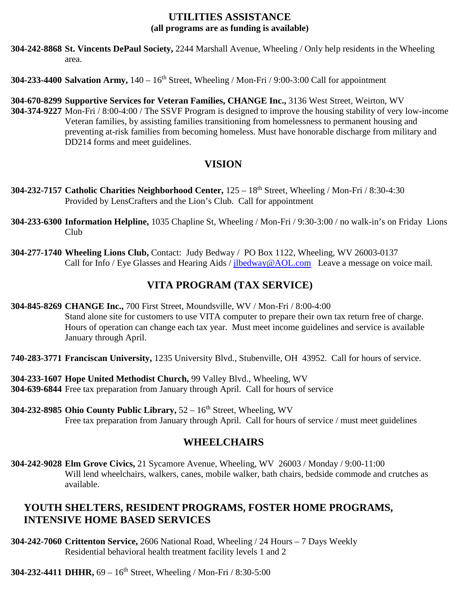### **UTILITIES ASSISTANCE (all programs are as funding is available)**

- **304-242-8868 St. Vincents DePaul Society,** 2244 Marshall Avenue, Wheeling / Only help residents in the Wheeling area.
- **304-233-4400 Salvation Army,**  $140 16$ <sup>th</sup> Street, Wheeling / Mon-Fri / 9:00-3:00 Call for appointment
- **304-670-8299 Supportive Services for Veteran Families, CHANGE Inc.,** 3136 West Street, Weirton, WV **304-374-9227** Mon-Fri / 8:00-4:00 / The SSVF Program is designed to improve the housing stability of very low-income Veteran families, by assisting families transitioning from homelessness to permanent housing and preventing at-risk families from becoming homeless. Must have honorable discharge from military and DD214 forms and meet guidelines.

# **VISION**

- **304-232-7157 Catholic Charities Neighborhood Center,** 125 18th Street, Wheeling / Mon-Fri / 8:30-4:30 Provided by LensCrafters and the Lion's Club. Call for appointment
- **304-233-6300 Information Helpline,** 1035 Chapline St, Wheeling / Mon-Fri / 9:30-3:00 / no walk-in's on Friday Lions Club
- **304-277-1740 Wheeling Lions Club,** Contact: Judy Bedway / PO Box 1122, Wheeling, WV 26003-0137 Call for Info / Eye Glasses and Hearing Aids / [jlbedway@AOL.com](mailto:jlbedway@AOL.com) Leave a message on voice mail.

# **VITA PROGRAM (TAX SERVICE)**

- **304-845-8269 CHANGE Inc.,** 700 First Street, Moundsville, WV / Mon-Fri / 8:00-4:00 Stand alone site for customers to use VITA computer to prepare their own tax return free of charge. Hours of operation can change each tax year. Must meet income guidelines and service is available January through April.
- **740-283-3771 Franciscan University,** 1235 University Blvd., Stubenville, OH 43952. Call for hours of service.
- **304-233-1607 Hope United Methodist Church,** 99 Valley Blvd., Wheeling, WV **304-639-6844** Free tax preparation from January through April. Call for hours of service
- **304-232-8985 Ohio County Public Library,** 52 16th Street, Wheeling, WV Free tax preparation from January through April. Call for hours of service / must meet guidelines

### **WHEELCHAIRS**

**304-242-9028 Elm Grove Civics,** 21 Sycamore Avenue, Wheeling, WV 26003 / Monday / 9:00-11:00 Will lend wheelchairs, walkers, canes, mobile walker, bath chairs, bedside commode and crutches as available.

# **YOUTH SHELTERS, RESIDENT PROGRAMS, FOSTER HOME PROGRAMS, INTENSIVE HOME BASED SERVICES**

- **304-242-7060 Crittenton Service,** 2606 National Road, Wheeling / 24 Hours 7 Days Weekly Residential behavioral health treatment facility levels 1 and 2
- **304-232-4411 DHHR,** 69 16th Street, Wheeling / Mon-Fri / 8:30-5:00